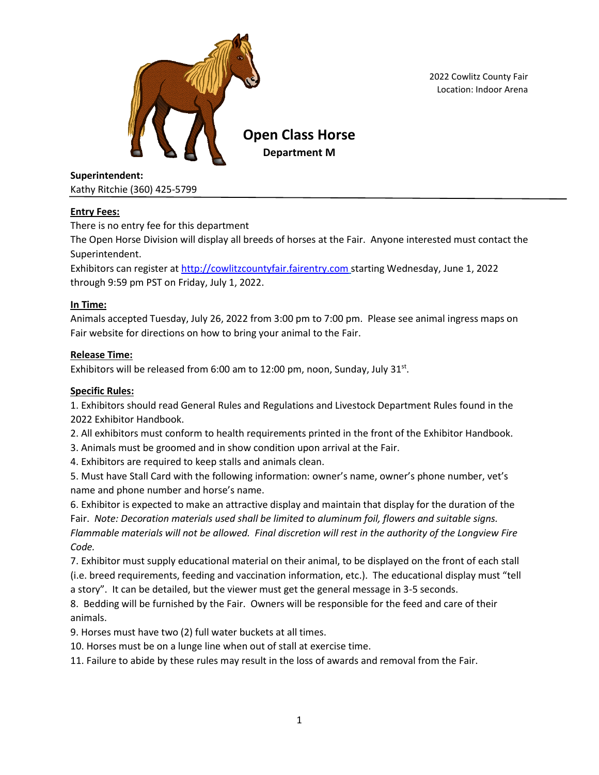

2022 Cowlitz County Fair Location: Indoor Arena

**Superintendent:**

Kathy Ritchie (360) 425-5799

# **Entry Fees:**

There is no entry fee for this department

The Open Horse Division will display all breeds of horses at the Fair. Anyone interested must contact the Superintendent.

Exhibitors can register at [http://cowlitzcountyfair.fairentry.com](http://cowlitzcountyfair.fairentry.com/) starting Wednesday, June 1, 2022 through 9:59 pm PST on Friday, July 1, 2022.

# **In Time:**

Animals accepted Tuesday, July 26, 2022 from 3:00 pm to 7:00 pm. Please see animal ingress maps on Fair website for directions on how to bring your animal to the Fair.

# **Release Time:**

Exhibitors will be released from 6:00 am to 12:00 pm, noon, Sunday, July 31 $st$ .

## **Specific Rules:**

1. Exhibitors should read General Rules and Regulations and Livestock Department Rules found in the 2022 Exhibitor Handbook.

2. All exhibitors must conform to health requirements printed in the front of the Exhibitor Handbook.

3. Animals must be groomed and in show condition upon arrival at the Fair.

4. Exhibitors are required to keep stalls and animals clean.

5. Must have Stall Card with the following information: owner's name, owner's phone number, vet's name and phone number and horse's name.

6. Exhibitor is expected to make an attractive display and maintain that display for the duration of the Fair. *Note: Decoration materials used shall be limited to aluminum foil, flowers and suitable signs. Flammable materials will not be allowed. Final discretion will rest in the authority of the Longview Fire Code.*

7. Exhibitor must supply educational material on their animal, to be displayed on the front of each stall (i.e. breed requirements, feeding and vaccination information, etc.). The educational display must "tell a story". It can be detailed, but the viewer must get the general message in 3-5 seconds.

8. Bedding will be furnished by the Fair. Owners will be responsible for the feed and care of their animals.

9. Horses must have two (2) full water buckets at all times.

10. Horses must be on a lunge line when out of stall at exercise time.

11. Failure to abide by these rules may result in the loss of awards and removal from the Fair.